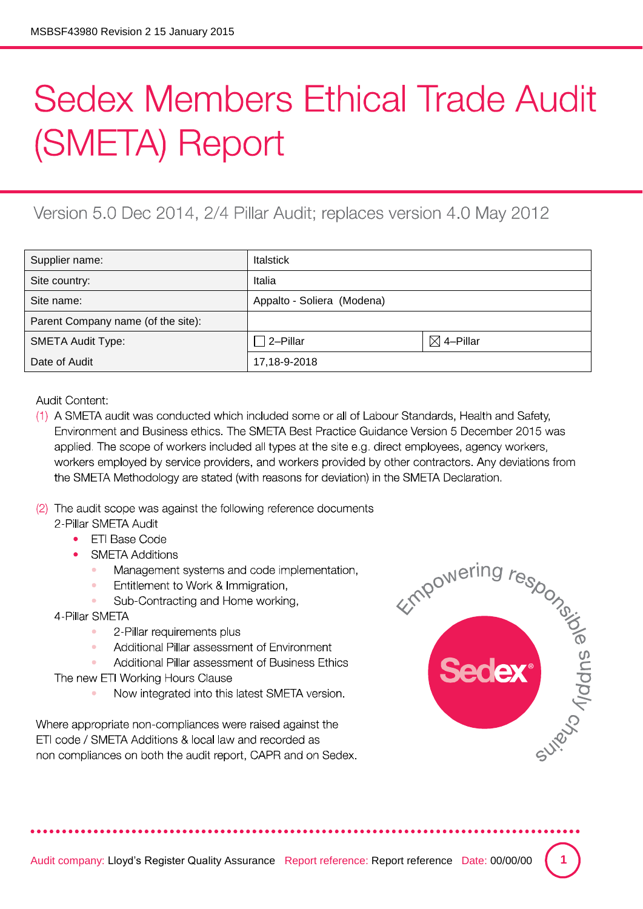## **Sedex Members Ethical Trade Audit** (SMETA) Report

## Version 5.0 Dec 2014, 2/4 Pillar Audit; replaces version 4.0 May 2012

| Supplier name:                     | <b>Italstick</b>           |                      |
|------------------------------------|----------------------------|----------------------|
| Site country:                      | Italia                     |                      |
| Site name:                         | Appalto - Soliera (Modena) |                      |
| Parent Company name (of the site): |                            |                      |
| <b>SMETA Audit Type:</b>           | $\Box$ 2-Pillar            | $\boxtimes$ 4–Pillar |
| Date of Audit                      | 17,18-9-2018               |                      |

**Audit Content:** 

- (1) A SMETA audit was conducted which included some or all of Labour Standards, Health and Safety, Environment and Business ethics. The SMETA Best Practice Guidance Version 5 December 2015 was applied. The scope of workers included all types at the site e.g. direct employees, agency workers, workers employed by service providers, and workers provided by other contractors. Any deviations from the SMETA Methodology are stated (with reasons for deviation) in the SMETA Declaration.
- (2) The audit scope was against the following reference documents 2-Pillar SMETA Audit
	- FTI Base Code
	- **SMETA Additions** 
		- Management systems and code implementation,
		- Entitlement to Work & Immigration,

Sub-Contracting and Home working,

4-Pillar SMETA

- $\bullet$ 2-Pillar requirements plus
- Additional Pillar assessment of Environment  $\alpha$
- Additional Pillar assessment of Business Ethics

The new ETI Working Hours Clause

Now integrated into this latest SMETA version.

Where appropriate non-compliances were raised against the ETI code / SMETA Additions & local law and recorded as non compliances on both the audit report, CAPR and on Sedex.

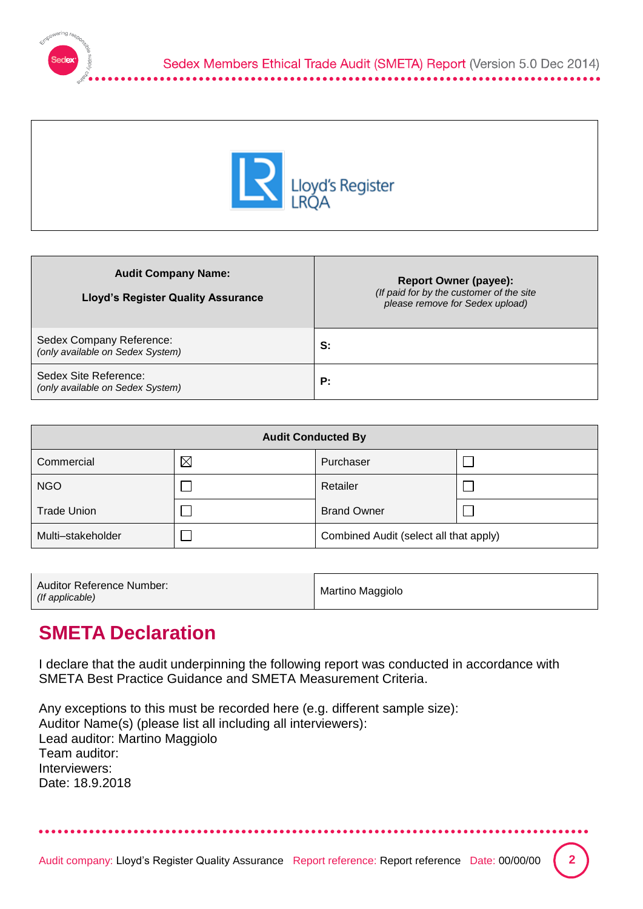



| <b>Audit Company Name:</b><br><b>Lloyd's Register Quality Assurance</b> | <b>Report Owner (payee):</b><br>(If paid for by the customer of the site<br>please remove for Sedex upload) |
|-------------------------------------------------------------------------|-------------------------------------------------------------------------------------------------------------|
| Sedex Company Reference:<br>(only available on Sedex System)            | S:                                                                                                          |
| Sedex Site Reference:<br>(only available on Sedex System)               | P:                                                                                                          |

| <b>Audit Conducted By</b> |             |                                        |  |  |
|---------------------------|-------------|----------------------------------------|--|--|
| Commercial                | $\boxtimes$ | Purchaser                              |  |  |
| <b>NGO</b>                |             | Retailer                               |  |  |
| <b>Trade Union</b>        |             | <b>Brand Owner</b>                     |  |  |
| Multi-stakeholder         |             | Combined Audit (select all that apply) |  |  |

| Auditor Reference Number:<br>(If applicable) | Martino Maggiolo |
|----------------------------------------------|------------------|
|----------------------------------------------|------------------|

## **SMETA Declaration**

I declare that the audit underpinning the following report was conducted in accordance with SMETA Best Practice Guidance and SMETA Measurement Criteria.

Any exceptions to this must be recorded here (e.g. different sample size): Auditor Name(s) (please list all including all interviewers): Lead auditor: Martino Maggiolo Team auditor: Interviewers: Date: 18.9.2018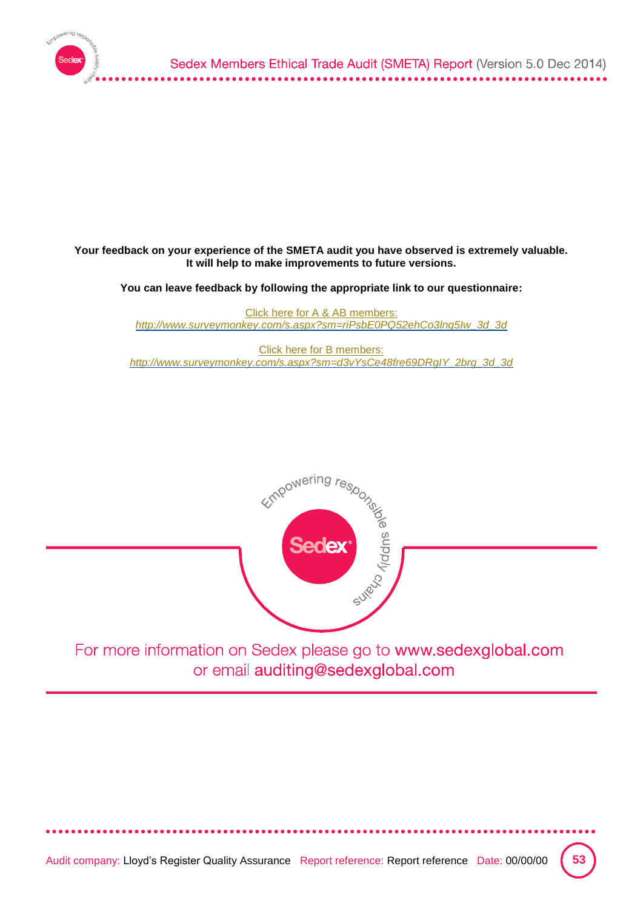

## **Your feedback on your experience of the SMETA audit you have observed is extremely valuable. It will help to make improvements to future versions.**

**You can leave feedback by following the appropriate link to our questionnaire:**

[Click here for A & AB members:](http://www.surveymonkey.com/s.aspx?sm=riPsbE0PQ52ehCo3lnq5Iw_3d_3d) *[http://www.surveymonkey.com/s.aspx?sm=riPsbE0PQ52ehCo3lnq5Iw\\_3d\\_3d](http://www.surveymonkey.com/s.aspx?sm=riPsbE0PQ52ehCo3lnq5Iw_3d_3d)*

[Click here for B members:](http://www.surveymonkey.com/s.aspx?sm=d3vYsCe48fre69DRgIY_2brg_3d_3d) *[http://www.surveymonkey.com/s.aspx?sm=d3vYsCe48fre69DRgIY\\_2brg\\_3d\\_3d](http://www.surveymonkey.com/s.aspx?sm=d3vYsCe48fre69DRgIY_2brg_3d_3d)*



For more information on Sedex please go to www.sedexglobal.com or email auditing@sedexglobal.com